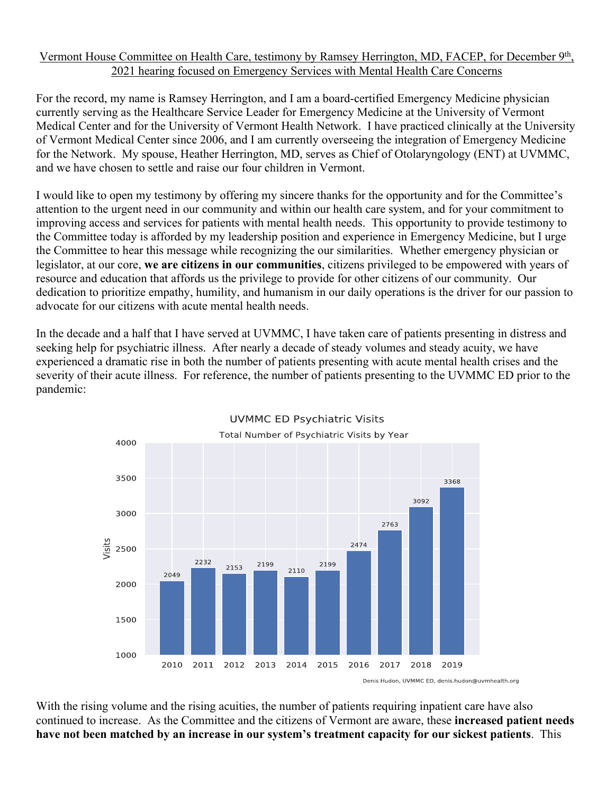## Vermont House Committee on Health Care, testimony by Ramsey Herrington, MD, FACEP, for December 9th, 2021 hearing focused on Emergency Services with Mental Health Care Concerns

For the record, my name is Ramsey Herrington, and I am a board-certified Emergency Medicine physician currently serving as the Healthcare Service Leader for Emergency Medicine at the University of Vermont Medical Center and for the University of Vermont Health Network. I have practiced clinically at the University of Vermont Medical Center since 2006, and I am currently overseeing the integration of Emergency Medicine for the Network. My spouse, Heather Herrington, MD, serves as Chief of Otolaryngology (ENT) at UVMMC, and we have chosen to settle and raise our four children in Vermont.

I would like to open my testimony by offering my sincere thanks for the opportunity and for the Committee's attention to the urgent need in our community and within our health care system, and for your commitment to improving access and services for patients with mental health needs. This opportunity to provide testimony to the Committee today is afforded by my leadership position and experience in Emergency Medicine, but I urge the Committee to hear this message while recognizing the our similarities. Whether emergency physician or legislator, at our core, **we are citizens in our communities**, citizens privileged to be empowered with years of resource and education that affords us the privilege to provide for other citizens of our community. Our dedication to prioritize empathy, humility, and humanism in our daily operations is the driver for our passion to advocate for our citizens with acute mental health needs.

In the decade and a half that I have served at UVMMC, I have taken care of patients presenting in distress and seeking help for psychiatric illness. After nearly a decade of steady volumes and steady acuity, we have experienced a dramatic rise in both the number of patients presenting with acute mental health crises and the severity of their acute illness. For reference, the number of patients presenting to the UVMMC ED prior to the pandemic:



**UVMMC ED Psychiatric Visits** 

With the rising volume and the rising acuities, the number of patients requiring inpatient care have also continued to increase. As the Committee and the citizens of Vermont are aware, these **increased patient needs have not been matched by an increase in our system's treatment capacity for our sickest patients**. This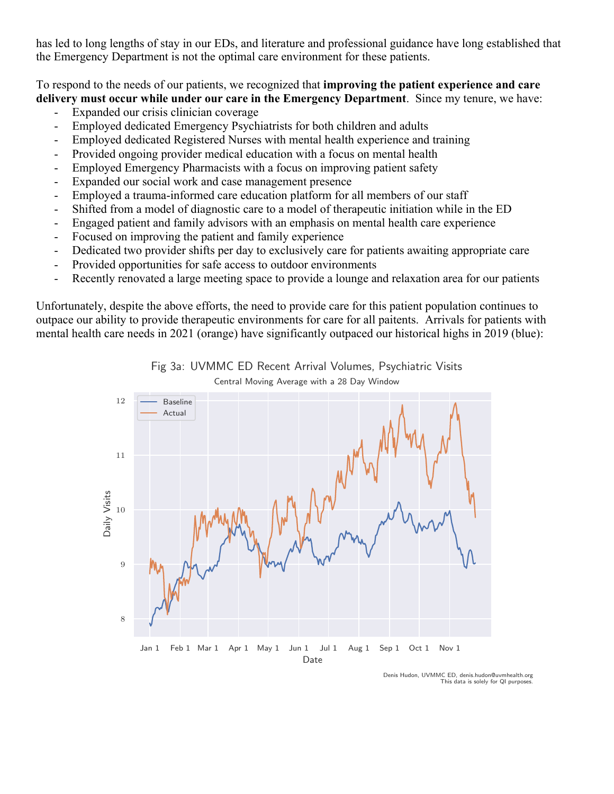has led to long lengths of stay in our EDs, and literature and professional guidance have long established that the Emergency Department is not the optimal care environment for these patients.

To respond to the needs of our patients, we recognized that **improving the patient experience and care delivery must occur while under our care in the Emergency Department**. Since my tenure, we have:

- Expanded our crisis clinician coverage
- Employed dedicated Emergency Psychiatrists for both children and adults
- Employed dedicated Registered Nurses with mental health experience and training
- Provided ongoing provider medical education with a focus on mental health
- Employed Emergency Pharmacists with a focus on improving patient safety
- Expanded our social work and case management presence
- Employed a trauma-informed care education platform for all members of our staff
- Shifted from a model of diagnostic care to a model of therapeutic initiation while in the ED
- Engaged patient and family advisors with an emphasis on mental health care experience
- Focused on improving the patient and family experience
- Dedicated two provider shifts per day to exclusively care for patients awaiting appropriate care
- Provided opportunities for safe access to outdoor environments
- Recently renovated a large meeting space to provide a lounge and relaxation area for our patients

Unfortunately, despite the above efforts, the need to provide care for this patient population continues to outpace our ability to provide therapeutic environments for care for all paitents. Arrivals for patients with mental health care needs in 2021 (orange) have significantly outpaced our historical highs in 2019 (blue):



Fig 3a: UVMMC ED Recent Arrival Volumes, Psychiatric Visits Central Moving Average with a 28 Day Window

> Denis Hudon, UVMMC ED, denis.hudon@uvmhealth.org This data is solely for QI purposes.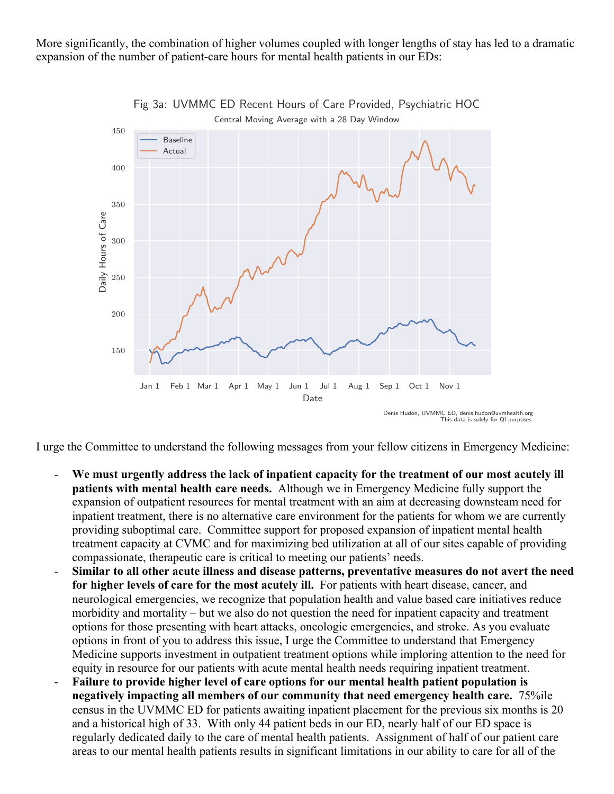More significantly, the combination of higher volumes coupled with longer lengths of stay has led to a dramatic expansion of the number of patient-care hours for mental health patients in our EDs:



Fig 3a: UVMMC ED Recent Hours of Care Provided, Psychiatric HOC

Denis Hudon, UVMMC ED, denis.hudon@uvmhealth.org This data is solely for QI purposes.

I urge the Committee to understand the following messages from your fellow citizens in Emergency Medicine:

- We must urgently address the lack of inpatient capacity for the treatment of our most acutely ill **patients with mental health care needs.** Although we in Emergency Medicine fully support the expansion of outpatient resources for mental treatment with an aim at decreasing downsteam need for inpatient treatment, there is no alternative care environment for the patients for whom we are currently providing suboptimal care. Committee support for proposed expansion of inpatient mental health treatment capacity at CVMC and for maximizing bed utilization at all of our sites capable of providing compassionate, therapeutic care is critical to meeting our patients' needs.
- **Similar to all other acute illness and disease patterns, preventative measures do not avert the need for higher levels of care for the most acutely ill.** For patients with heart disease, cancer, and neurological emergencies, we recognize that population health and value based care initiatives reduce morbidity and mortality – but we also do not question the need for inpatient capacity and treatment options for those presenting with heart attacks, oncologic emergencies, and stroke. As you evaluate options in front of you to address this issue, I urge the Committee to understand that Emergency Medicine supports investment in outpatient treatment options while imploring attention to the need for equity in resource for our patients with acute mental health needs requiring inpatient treatment.
- Failure to provide higher level of care options for our mental health patient population is **negatively impacting all members of our community that need emergency health care.** 75%ile census in the UVMMC ED for patients awaiting inpatient placement for the previous six months is 20 and a historical high of 33. With only 44 patient beds in our ED, nearly half of our ED space is regularly dedicated daily to the care of mental health patients. Assignment of half of our patient care areas to our mental health patients results in significant limitations in our ability to care for all of the